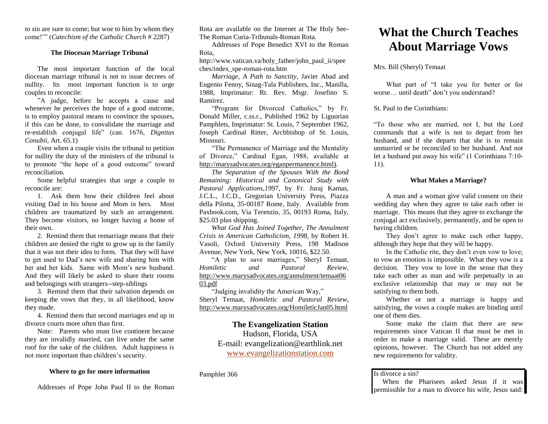to sin are sure to come; but woe to him by whom they come!'" (*Catechism of the Catholic Church* # 2287)

# **The Diocesan Marriage Tribunal**

The most important function of the local diocesan marriage tribunal is not to issue decrees of nullity. Its most important function is to urge couples to reconcile:

"A judge, before he accepts a cause and whenever he perceives the hope of a good outcome, is to employ pastoral means to convince the spouses, if this can be done, to convalidate the marriage and re-establish conjugal life" (can. 1676, *Dignitas Conubii*, Art. 65.1)

Even when a couple visits the tribunal to petition for nullity the duty of the ministers of the tribunal is to promote "the hope of a good outcome" toward reconciliation.

Some helpful strategies that urge a couple to reconcile are:

1. Ask them how their children feel about visiting Dad in his house and Mom in hers. Most children are traumatized by such an arrangement. They become visitors, no longer having a home of their own.

2. Remind them that remarriage means that their children are denied the right to grow up in the family that it was not their idea to form. That they will have to get used to Dad's new wife and sharing him with her and her kids. Same with Mom's new husband. And they will likely be asked to share their rooms and belongings with strangers--step-siblings

3. Remind them that their salvation depends on keeping the vows that they, in all likelihood, know they made.

4. Remind them that second marriages end up in divorce courts more often than first.

Note: Parents who must live continent because they are invalidly married, can live under the same roof for the sake of the children. Adult happiness is not more important than children's security.

# **Where to go for more information**

Addresses of Pope John Paul II to the Roman

Rota are available on the Internet at The Holy See-The Roman Curia-Tribunals-Roman Rota.

Addresses of Pope Benedict XVI to the Roman Rota,

http://www.vatican.va/holy\_father/john\_paul\_ii/spee ches/index\_spe-roman-rota.htm

*Marriage, A Path to Sanctity*, Javier Abad and Eugenio Fenoy, Sinag-Tala Publishers, Inc., Manilla, 1988, Imprimatur: Rt. Rev. Msgr. Josefino S. Ramirez.

"Program for Divorced Catholics," by Fr. Donald Miller, c.ss.r., Published 1962 by Liguorian Pamphlets, Imprimatur: St. Louis, 7 September 1962, Joseph Cardinal Ritter, Archbishop of St. Louis, Missouri.

"The Permanence of Marriage and the Mentality of Divorce," Cardinal Egan, 1988, available at http://marysadvocates.org/eganpermanence.html).

*The Separation of the Spouses With the Bond Remaining: Historical and Canonical Study with Pastoral Applications*,1997, by Fr. Juraj Kamas, J.C.L., J.C.D., Gregorian University Press, Piazza della Pilotta, 35-00187 Rome, Italy. Available from Paxbook.com, Via Terenzio, 35, 00193 Roma, Italy, \$25.03 plus shipping.

*What God Has Joined Together, The Annulment Crisis in American Catholicism, 1998,* by Robert H. Vasoli, Oxford University Press, 198 Madison Avenue, New York, New York, 10016, \$22.50.

"A plan to save marriages," Sheryl Temaat, *Homiletic and Pastoral Review*, [http://www.marysadvocates.org/annulment/temaat06](http://www.marysadvocates.org/annulment/temaat0603.pdf) [03.pdf](http://www.marysadvocates.org/annulment/temaat0603.pdf)

"Judging invalidity the American Way," Sheryl Temaat, *Homiletic and Pastoral Review*, <http://www.marysadvocates.org/HomileticJan05.html>

> **The Evangelization Station**  Hudson, Florida, USA E-mail: evangelization@earthlink.net [www.evangelizationstation.com](http://www.pjpiisoe.org/)

Pamphlet 366

# **What the Church Teaches About Marriage Vows**

Mrs. Bill (Sheryl) Temaat

What part of "I take you for better or for worse… until death" don't you understand?

St. Paul to the Corinthians:

"To those who are married, not I, but the Lord commands that a wife is not to depart from her husband, and if she departs that she is to remain unmarried or be reconciled to her husband. And not let a husband put away his wife" (1 Corinthians 7:10- 11).

# **What Makes a Marriage?**

A man and a woman give valid consent on their wedding day when they agree to take each other in marriage. This means that they agree to exchange the conjugal act exclusively, permanently, and be open to having children.

They don't agree to make each other happy, although they hope that they will be happy.

In the Catholic rite, they don't even vow to love; to vow an emotion is impossible. What they vow is a decision. They vow to love in the sense that they take each other as man and wife perpetually in an exclusive relationship that may or may not be satisfying to them both.

Whether or not a marriage is happy and satisfying, the vows a couple makes are binding until one of them dies.

Some make the claim that there are new requirements since Vatican II that must be met in order to make a marriage valid. These are merely opinions, however. The Church has not added any new requirements for validity.

Is divorce a sin?

When the Pharisees asked Jesus if it was permissible for a man to divorce his wife, Jesus said: